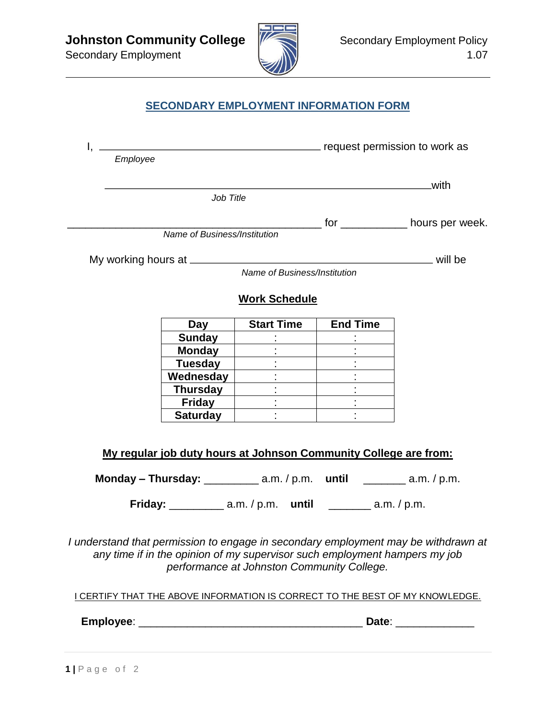

## **SECONDARY EMPLOYMENT INFORMATION FORM**

| Employee |                              | request permission to work as                                                                                                                    |                 |                                                                                    |
|----------|------------------------------|--------------------------------------------------------------------------------------------------------------------------------------------------|-----------------|------------------------------------------------------------------------------------|
|          |                              |                                                                                                                                                  |                 | with                                                                               |
|          | Job Title                    |                                                                                                                                                  |                 |                                                                                    |
|          | Name of Business/Institution |                                                                                                                                                  |                 | _________ for ______________ hours per week.                                       |
|          |                              |                                                                                                                                                  |                 |                                                                                    |
|          |                              |                                                                                                                                                  |                 |                                                                                    |
|          |                              | Name of Business/Institution                                                                                                                     |                 |                                                                                    |
|          |                              | <b>Work Schedule</b>                                                                                                                             |                 |                                                                                    |
|          | Day                          | <b>Start Time</b>                                                                                                                                | <b>End Time</b> |                                                                                    |
|          | <b>Sunday</b>                |                                                                                                                                                  |                 |                                                                                    |
|          | <b>Monday</b>                |                                                                                                                                                  |                 |                                                                                    |
|          | <b>Tuesday</b>               |                                                                                                                                                  |                 |                                                                                    |
|          | Wednesday                    |                                                                                                                                                  |                 |                                                                                    |
|          | Thursday                     | $\mathcal{L}^{\mathcal{L}}$                                                                                                                      |                 |                                                                                    |
|          | <b>Friday</b>                |                                                                                                                                                  |                 |                                                                                    |
|          | <b>Saturday</b>              |                                                                                                                                                  |                 |                                                                                    |
|          |                              | My regular job duty hours at Johnson Community College are from:<br>Monday - Thursday: $\frac{1}{2}$ a.m. / p.m. until $\frac{1}{2}$ a.m. / p.m. |                 |                                                                                    |
|          |                              | Friday: _____________ a.m. / p.m. until _________ a.m. / p.m.                                                                                    |                 |                                                                                    |
|          |                              |                                                                                                                                                  |                 | I understand that permission to engage in secondary employment may be withdrawn at |

*any time if in the opinion of my supervisor such employment hampers my job performance at Johnston Community College.*

I CERTIFY THAT THE ABOVE INFORMATION IS CORRECT TO THE BEST OF MY KNOWLEDGE.

**Employee**: \_\_\_\_\_\_\_\_\_\_\_\_\_\_\_\_\_\_\_\_\_\_\_\_\_\_\_\_\_\_\_\_\_\_\_\_\_ **Date**: \_\_\_\_\_\_\_\_\_\_\_\_\_